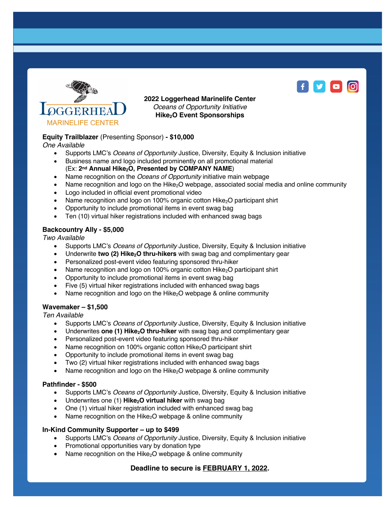

**2022 Loggerhead Marinelife Center** *Oceans of Opportunity Initiative* **Hike2O Event Sponsorships**

# **Equity Trailblazer** (Presenting Sponsor) **- \$10,000**

*One Available*

- Supports LMC's *Oceans of Opportunity* Justice, Diversity, Equity & Inclusion initiative
- Business name and logo included prominently on all promotional material (Ex: 2<sup>nd</sup> Annual Hike<sub>2</sub>O, Presented by COMPANY NAME)
- Name recognition on the *Oceans of Opportunity* initiative main webpage
- Name recognition and logo on the Hike<sub>2</sub>O webpage, associated social media and online community
- Logo included in official event promotional video
- Name recognition and logo on 100% organic cotton Hike $_2$ O participant shirt
- Opportunity to include promotional items in event swag bag
- Ten (10) virtual hiker registrations included with enhanced swag bags

### **Backcountry Ally - \$5,000**

*Two Available*

- Supports LMC's *Oceans of Opportunity* Justice, Diversity, Equity & Inclusion initiative
- Underwrite **two (2) Hike<sub>2</sub>O thru-hikers** with swag bag and complimentary gear
- Personalized post-event video featuring sponsored thru-hiker
- Name recognition and logo on 100% organic cotton Hike<sub>2</sub>O participant shirt
- Opportunity to include promotional items in event swag bag
- Five (5) virtual hiker registrations included with enhanced swag bags
- Name recognition and logo on the Hike<sub>2</sub>O webpage & online community

### **Wavemaker – \$1,500**

*Ten Available*

- Supports LMC's *Oceans of Opportunity* Justice, Diversity, Equity & Inclusion initiative
- Underwrites one (1) Hike<sub>2</sub>O thru-hiker with swag bag and complimentary gear
- Personalized post-event video featuring sponsored thru-hiker
- Name recognition on 100% organic cotton  $Hike<sub>2</sub>O$  participant shirt
- Opportunity to include promotional items in event swag bag
- Two (2) virtual hiker registrations included with enhanced swag bags
- Name recognition and logo on the Hike<sub>2</sub>O webpage & online community

### **Pathfinder - \$500**

- Supports LMC's *Oceans of Opportunity* Justice, Diversity, Equity & Inclusion initiative
- Underwrites one (1) **Hike<sub>2</sub>O virtual hiker** with swag bag
- One (1) virtual hiker registration included with enhanced swag bag
- Name recognition on the Hike<sub>2</sub>O webpage & online community

### **In-Kind Community Supporter – up to \$499**

- Supports LMC's *Oceans of Opportunity* Justice, Diversity, Equity & Inclusion initiative
- Promotional opportunities vary by donation type
- Name recognition on the Hike<sub>2</sub>O webpage & online community

# **Deadline to secure is FEBRUARY 1, 2022.**